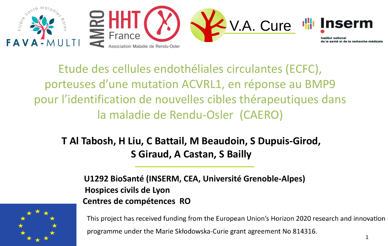

Etude des cellules endothéliales circulantes (ECFC), porteuses d'une mutation ACVRL1, en réponse au BMP9 pour l'identification de nouvelles cibles thérapeutiques dans la maladie de Rendu-Osler (CAERO)

**T Al Tabosh, H Liu, C Battail, M Beaudoin, S Dupuis-Girod, S Giraud, A Castan, S Bailly** 

 **U1292 BioSanté (INSERM, CEA, Université Grenoble-Alpes) Hospices civils de Lyon Centres de compétences RO**



This project has received funding from the European Union's Horizon 2020 research and innovation programme under the Marie Skłodowska-Curie grant agreement No 814316.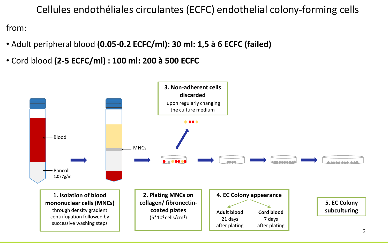Cellules endothéliales circulantes (ECFC) endothelial colony-forming cells

from:

- Adult peripheral blood **(0.05-0.2 ECFC/ml): 30 ml: 1,5 à 6 ECFC (failed)**
- Cord blood **(2-5 ECFC/ml) : 100 ml: 200 à 500 ECFC**

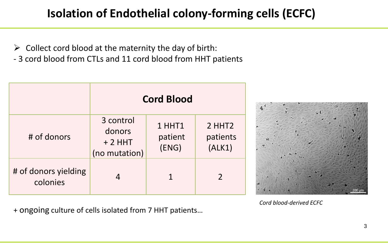### **Isolation of Endothelial colony-forming cells (ECFC)**

- $\triangleright$  Collect cord blood at the maternity the day of birth:
- 3 cord blood from CTLs and 11 cord blood from HHT patients

|                                  | <b>Cord Blood</b>                                |                            |                                          |
|----------------------------------|--------------------------------------------------|----------------------------|------------------------------------------|
| # of donors                      | 3 control<br>donors<br>$+2$ HHT<br>(no mutation) | 1 HHT1<br>patient<br>(ENS) | 2 HHT <sub>2</sub><br>patients<br>(ALK1) |
| # of donors yielding<br>colonies | 4                                                |                            | $\overline{2}$                           |



*Cord blood-derived ECFC*

+ ongoing culture of cells isolated from 7 HHT patients…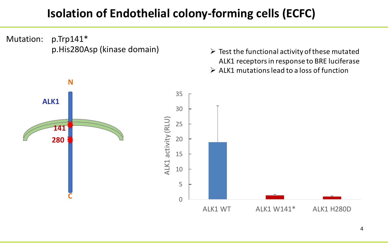### **Isolation of Endothelial colony-forming cells (ECFC)**

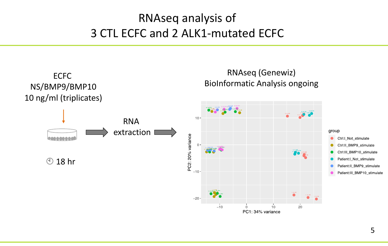## RNAseq analysis of 3 CTL ECFC and 2 ALK1-mutated ECFC

![](_page_4_Figure_1.jpeg)